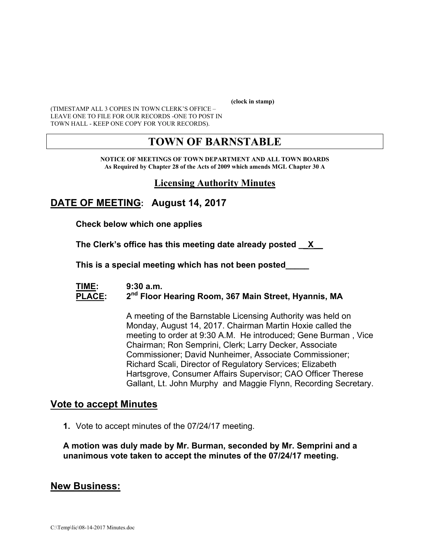**(clock in stamp)** 

(TIMESTAMP ALL 3 COPIES IN TOWN CLERK'S OFFICE – LEAVE ONE TO FILE FOR OUR RECORDS -ONE TO POST IN TOWN HALL - KEEP ONE COPY FOR YOUR RECORDS).

# **TOWN OF BARNSTABLE**

**NOTICE OF MEETINGS OF TOWN DEPARTMENT AND ALL TOWN BOARDS As Required by Chapter 28 of the Acts of 2009 which amends MGL Chapter 30 A** 

### **Licensing Authority Minutes**

# **DATE OF MEETING: August 14, 2017**

**Check below which one applies** 

**The Clerk's office has this meeting date already posted \_\_X\_\_** 

 **This is a special meeting which has not been posted\_\_\_\_\_** 

#### **TIME: 9:30 a.m.**  PLACE: 2<sup>nd</sup> Floor Hearing Room, 367 Main Street, Hyannis, MA

A meeting of the Barnstable Licensing Authority was held on Monday, August 14, 2017. Chairman Martin Hoxie called the meeting to order at 9:30 A.M. He introduced; Gene Burman , Vice Chairman; Ron Semprini, Clerk; Larry Decker, Associate Commissioner; David Nunheimer, Associate Commissioner; Richard Scali, Director of Regulatory Services; Elizabeth Hartsgrove, Consumer Affairs Supervisor; CAO Officer Therese Gallant, Lt. John Murphy and Maggie Flynn, Recording Secretary.

### **Vote to accept Minutes**

**1.** Vote to accept minutes of the 07/24/17 meeting.

**A motion was duly made by Mr. Burman, seconded by Mr. Semprini and a unanimous vote taken to accept the minutes of the 07/24/17 meeting.** 

### **New Business:**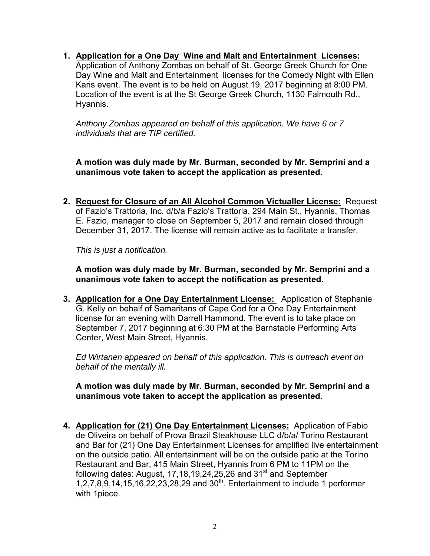**1. Application for a One Day Wine and Malt and Entertainment Licenses:**  Application of Anthony Zombas on behalf of St. George Greek Church for One Day Wine and Malt and Entertainment licenses for the Comedy Night with Ellen

Karis event. The event is to be held on August 19, 2017 beginning at 8:00 PM. Location of the event is at the St George Greek Church, 1130 Falmouth Rd., Hyannis.

*Anthony Zombas appeared on behalf of this application. We have 6 or 7 individuals that are TIP certified.* 

**A motion was duly made by Mr. Burman, seconded by Mr. Semprini and a unanimous vote taken to accept the application as presented.** 

**2. Request for Closure of an All Alcohol Common Victualler License:** Request of Fazio's Trattoria, Inc. d/b/a Fazio's Trattoria, 294 Main St., Hyannis, Thomas E. Fazio, manager to close on September 5, 2017 and remain closed through December 31, 2017. The license will remain active as to facilitate a transfer.

*This is just a notification.* 

**A motion was duly made by Mr. Burman, seconded by Mr. Semprini and a unanimous vote taken to accept the notification as presented.** 

**3. Application for a One Day Entertainment License:** Application of Stephanie G. Kelly on behalf of Samaritans of Cape Cod for a One Day Entertainment license for an evening with Darrell Hammond. The event is to take place on September 7, 2017 beginning at 6:30 PM at the Barnstable Performing Arts Center, West Main Street, Hyannis.

*Ed Wirtanen appeared on behalf of this application. This is outreach event on behalf of the mentally ill.* 

**A motion was duly made by Mr. Burman, seconded by Mr. Semprini and a unanimous vote taken to accept the application as presented.** 

**4. Application for (21) One Day Entertainment Licenses:** Application of Fabio de Oliveira on behalf of Prova Brazil Steakhouse LLC d/b/a/ Torino Restaurant and Bar for (21) One Day Entertainment Licenses for amplified live entertainment on the outside patio. All entertainment will be on the outside patio at the Torino Restaurant and Bar, 415 Main Street, Hyannis from 6 PM to 11PM on the following dates: August,  $17,18,19,24,25,26$  and  $31<sup>st</sup>$  and September  $1,2,7,8,9,14,15,16,22,23,28,29$  and  $30<sup>th</sup>$ . Entertainment to include 1 performer with 1piece.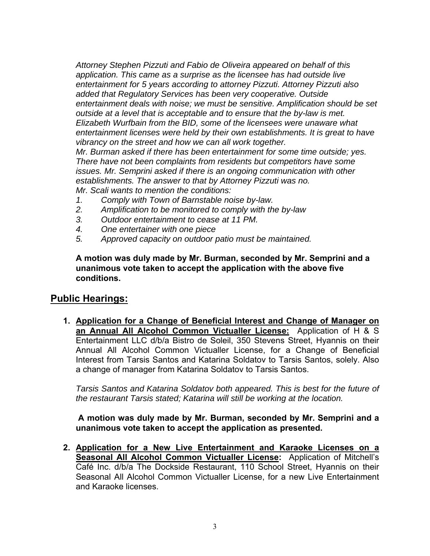*Attorney Stephen Pizzuti and Fabio de Oliveira appeared on behalf of this application. This came as a surprise as the licensee has had outside live entertainment for 5 years according to attorney Pizzuti. Attorney Pizzuti also added that Regulatory Services has been very cooperative. Outside entertainment deals with noise; we must be sensitive. Amplification should be set outside at a level that is acceptable and to ensure that the by-law is met. Elizabeth Wurfbain from the BID, some of the licensees were unaware what entertainment licenses were held by their own establishments. It is great to have vibrancy on the street and how we can all work together. Mr. Burman asked if there has been entertainment for some time outside; yes.* 

*There have not been complaints from residents but competitors have some issues. Mr. Semprini asked if there is an ongoing communication with other establishments. The answer to that by Attorney Pizzuti was no.* 

*Mr. Scali wants to mention the conditions:* 

- *1. Comply with Town of Barnstable noise by-law.*
- *2. Amplification to be monitored to comply with the by-law*
- *3. Outdoor entertainment to cease at 11 PM.*
- *4. One entertainer with one piece*
- *5. Approved capacity on outdoor patio must be maintained.*

**A motion was duly made by Mr. Burman, seconded by Mr. Semprini and a unanimous vote taken to accept the application with the above five conditions.** 

# **Public Hearings:**

**1. Application for a Change of Beneficial Interest and Change of Manager on an Annual All Alcohol Common Victualler License:** Application of H & S Entertainment LLC d/b/a Bistro de Soleil, 350 Stevens Street, Hyannis on their Annual All Alcohol Common Victualler License, for a Change of Beneficial Interest from Tarsis Santos and Katarina Soldatov to Tarsis Santos, solely. Also a change of manager from Katarina Soldatov to Tarsis Santos.

*Tarsis Santos and Katarina Soldatov both appeared. This is best for the future of the restaurant Tarsis stated; Katarina will still be working at the location.* 

**A motion was duly made by Mr. Burman, seconded by Mr. Semprini and a unanimous vote taken to accept the application as presented.** 

**2. Application for a New Live Entertainment and Karaoke Licenses on a Seasonal All Alcohol Common Victualler License:** Application of Mitchell's Café Inc. d/b/a The Dockside Restaurant, 110 School Street, Hyannis on their Seasonal All Alcohol Common Victualler License, for a new Live Entertainment and Karaoke licenses.